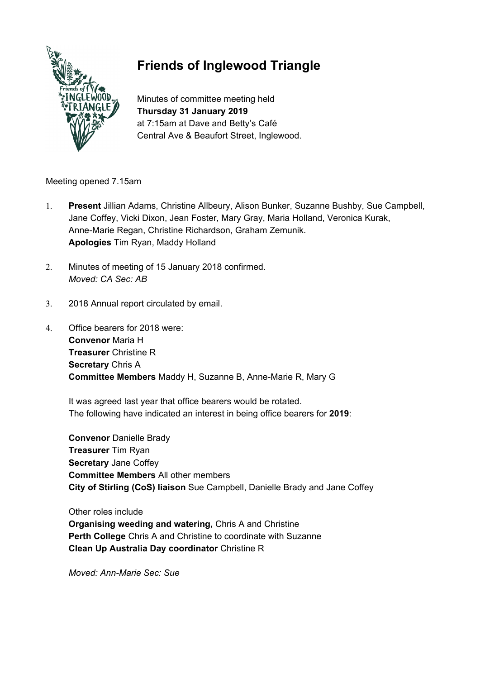

# **Friends of Inglewood Triangle**

Minutes of committee meeting held **Thursday 31 January 2019** at 7:15am at Dave and Betty's Café Central Ave & Beaufort Street, Inglewood.

Meeting opened 7.15am

- 1. **Present** Jillian Adams, Christine Allbeury, Alison Bunker, Suzanne Bushby, Sue Campbell, Jane Coffey, Vicki Dixon, Jean Foster, Mary Gray, Maria Holland, Veronica Kurak, Anne-Marie Regan, Christine Richardson, Graham Zemunik. **Apologies** Tim Ryan, Maddy Holland
- 2. Minutes of meeting of 15 January 2018 confirmed. *Moved: CA Sec: AB*
- 3. 2018 Annual report circulated by email.
- 4. Office bearers for 2018 were: **Convenor** Maria H **Treasurer** Christine R **Secretary** Chris A **Committee Members** Maddy H, Suzanne B, Anne-Marie R, Mary G

It was agreed last year that office bearers would be rotated. The following have indicated an interest in being office bearers for **2019**:

**Convenor** Danielle Brady **Treasurer** Tim Ryan **Secretary** Jane Coffey **Committee Members** All other members **City of Stirling (CoS) liaison** Sue Campbell, Danielle Brady and Jane Coffey

Other roles include **Organising weeding and watering,** Chris A and Christine **Perth College** Chris A and Christine to coordinate with Suzanne **Clean Up Australia Day coordinator** Christine R

*Moved: Ann-Marie Sec: Sue*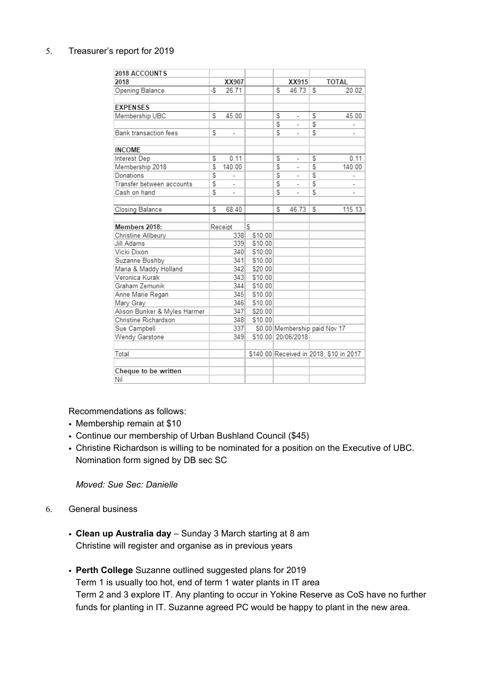# 5. Treasurer's report for 2019

| 2018 ACCOUNTS                |    |                |         |   |                               |   |                                         |
|------------------------------|----|----------------|---------|---|-------------------------------|---|-----------------------------------------|
| 2018                         |    | XX907          |         |   | XX915                         |   | <b>TOTAL</b>                            |
| Opening Balance              | -5 | 26.71          |         | S | 46.73                         | S | 20.02                                   |
|                              |    |                |         |   |                               |   |                                         |
| <b>EXPENSES</b>              |    |                |         |   |                               |   |                                         |
| Membership UBC               | S  | 45.00          |         | S | ÷,                            | S | 45.00                                   |
|                              |    |                |         | S | ä,                            | S |                                         |
| Bank transaction fees        | S  | ä,             |         | S | ÷,                            | S |                                         |
|                              |    |                |         |   |                               |   |                                         |
| <b>INCOME</b>                |    |                |         |   |                               |   |                                         |
| Interest Dep                 | S  | 0.11           |         | S | L,                            | S | 0.11                                    |
| Membership 2018              | S  | 140.00         |         | S | $\overline{\phantom{a}}$      | S | 140.00                                  |
| Donations                    | S  | L,             |         | S | $\overline{\phantom{a}}$      | S |                                         |
| Transfer between accounts    | \$ | ä,             |         | S | ÷,                            | S |                                         |
| Cash on hand                 | S  | ÷,             |         | S | ä,                            | S | ۰                                       |
|                              | S  |                |         | S |                               | S |                                         |
| Closing Balance              |    | 68.40          |         |   | 46.73                         |   | 115.13                                  |
| Members 2018:                |    |                | S       |   |                               |   |                                         |
| Christine Allbeury           |    | Receipt<br>338 | \$10.00 |   |                               |   |                                         |
| Jill Adams                   |    | 339            | \$10.00 |   |                               |   |                                         |
| Vicki Dixon                  |    | 340            | \$10.00 |   |                               |   |                                         |
| Suzanne Bushby               |    | 341            | \$10.00 |   |                               |   |                                         |
| Maria & Maddy Holland        |    | 342            | \$20.00 |   |                               |   |                                         |
| Veronica Kurak               |    | 343            | \$10.00 |   |                               |   |                                         |
| Graham Zemunik               |    | 344            | \$10.00 |   |                               |   |                                         |
| Anne Marie Regan             |    | 345            | \$10.00 |   |                               |   |                                         |
| Mary Gray                    |    | 346            | \$10.00 |   |                               |   |                                         |
| Alison Bunker & Myles Harmer |    | 347            | \$20.00 |   |                               |   |                                         |
| Christine Richardson         |    | 348            | \$10.00 |   |                               |   |                                         |
| Sue Campbell                 |    | 337            |         |   | \$0.00 Membership paid Nov 17 |   |                                         |
| Wendy Garstone               |    | 349            |         |   | \$10.00 20/06/2018            |   |                                         |
|                              |    |                |         |   |                               |   |                                         |
| Total                        |    |                |         |   |                               |   | \$140.00 Received in 2018, \$10 in 2017 |
|                              |    |                |         |   |                               |   |                                         |
| Cheque to be written         |    |                |         |   |                               |   |                                         |
| Nil                          |    |                |         |   |                               |   |                                         |

Recommendations as follows:

- Membership remain at \$10
- Continue our membership of Urban Bushland Council (\$45)
- Christine Richardson is willing to be nominated for a position on the Executive of UBC. Nomination form signed by DB sec SC

*Moved: Sue Sec: Danielle*

- 6. General business
	- **Clean up Australia day** Sunday 3 March starting at 8 am Christine will register and organise as in previous years
	- **Perth College** Suzanne outlined suggested plans for 2019 Term 1 is usually too hot, end of term 1 water plants in IT area Term 2 and 3 explore IT. Any planting to occur in Yokine Reserve as CoS have no further funds for planting in IT. Suzanne agreed PC would be happy to plant in the new area.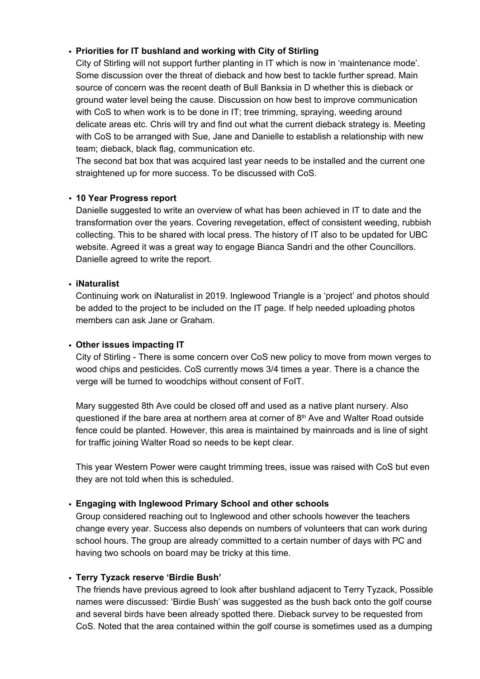# • **Priorities for IT bushland and working with City of Stirling**

City of Stirling will not support further planting in IT which is now in 'maintenance mode'. Some discussion over the threat of dieback and how best to tackle further spread. Main source of concern was the recent death of Bull Banksia in D whether this is dieback or ground water level being the cause. Discussion on how best to improve communication with CoS to when work is to be done in IT; tree trimming, spraying, weeding around delicate areas etc. Chris will try and find out what the current dieback strategy is. Meeting with CoS to be arranged with Sue, Jane and Danielle to establish a relationship with new team; dieback, black flag, communication etc.

The second bat box that was acquired last year needs to be installed and the current one straightened up for more success. To be discussed with CoS.

# • **10 Year Progress report**

Danielle suggested to write an overview of what has been achieved in IT to date and the transformation over the years. Covering revegetation, effect of consistent weeding, rubbish collecting. This to be shared with local press. The history of IT also to be updated for UBC website. Agreed it was a great way to engage Bianca Sandri and the other Councillors. Danielle agreed to write the report.

#### • **iNaturalist**

Continuing work on iNaturalist in 2019. Inglewood Triangle is a 'project' and photos should be added to the project to be included on the IT page. If help needed uploading photos members can ask Jane or Graham.

# • **Other issues impacting IT**

City of Stirling - There is some concern over CoS new policy to move from mown verges to wood chips and pesticides. CoS currently mows 3/4 times a year. There is a chance the verge will be turned to woodchips without consent of FoIT.

Mary suggested 8th Ave could be closed off and used as a native plant nursery. Also questioned if the bare area at northern area at corner of  $8<sup>th</sup>$  Ave and Walter Road outside fence could be planted. However, this area is maintained by mainroads and is line of sight for traffic joining Walter Road so needs to be kept clear.

This year Western Power were caught trimming trees, issue was raised with CoS but even they are not told when this is scheduled.

# • **Engaging with Inglewood Primary School and other schools**

Group considered reaching out to Inglewood and other schools however the teachers change every year. Success also depends on numbers of volunteers that can work during school hours. The group are already committed to a certain number of days with PC and having two schools on board may be tricky at this time.

# • **Terry Tyzack reserve 'Birdie Bush'**

The friends have previous agreed to look after bushland adjacent to Terry Tyzack, Possible names were discussed: 'Birdie Bush' was suggested as the bush back onto the golf course and several birds have been already spotted there. Dieback survey to be requested from CoS. Noted that the area contained within the golf course is sometimes used as a dumping